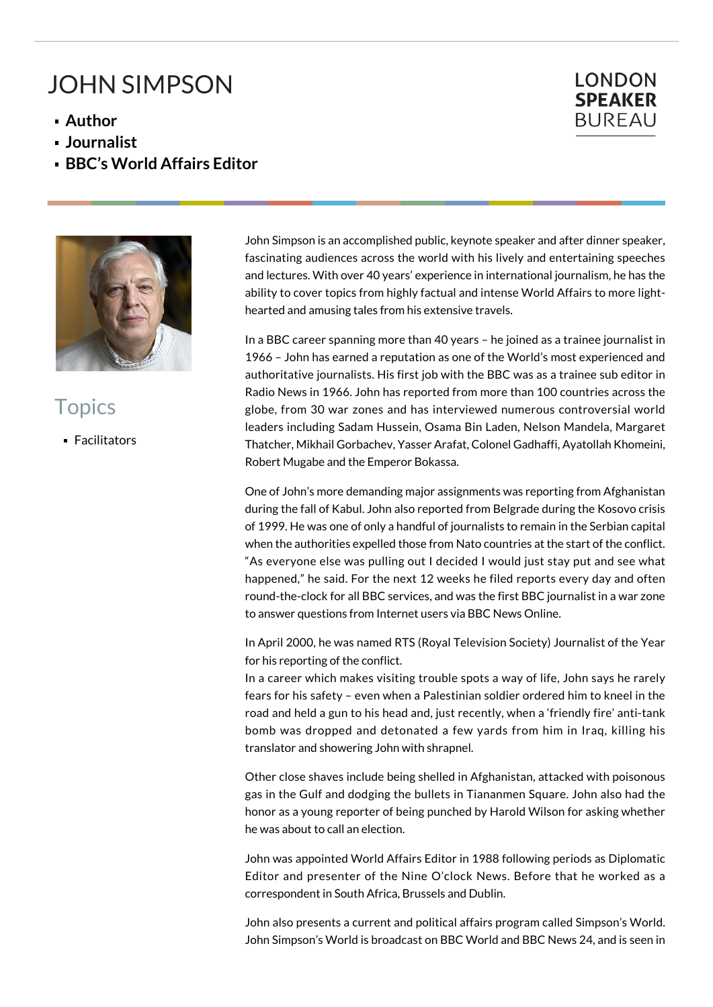## JOHN SIMPSON

- **Author**
- **Journalist**
- **BBC's World Affairs Editor**



## **Topics**

**Facilitators** 

John Simpson is an accomplished public, keynote speaker and after dinner speaker, fascinating audiences across the world with his lively and entertaining speeches and lectures. With over 40 years' experience in international journalism, he has the ability to cover topics from highly factual and intense World Affairs to more lighthearted and amusing tales from his extensive travels.

In a BBC career spanning more than 40 years – he joined as a trainee journalist in 1966 – John has earned a reputation as one of the World's most experienced and authoritative journalists. His first job with the BBC was as a trainee sub editor in Radio News in 1966. John has reported from more than 100 countries across the globe, from 30 war zones and has interviewed numerous controversial world leaders including Sadam Hussein, Osama Bin Laden, Nelson Mandela, Margaret Thatcher, Mikhail Gorbachev, Yasser Arafat, Colonel Gadhaffi, Ayatollah Khomeini, Robert Mugabe and the Emperor Bokassa.

One of John's more demanding major assignments was reporting from Afghanistan during the fall of Kabul. John also reported from Belgrade during the Kosovo crisis of 1999. He was one of only a handful of journalists to remain in the Serbian capital when the authorities expelled those from Nato countries at the start of the conflict. "As everyone else was pulling out I decided I would just stay put and see what happened," he said. For the next 12 weeks he filed reports every day and often round-the-clock for all BBC services, and was the first BBC journalist in a war zone to answer questions from Internet users via BBC News Online.

In April 2000, he was named RTS (Royal Television Society) Journalist of the Year for his reporting of the conflict.

In a career which makes visiting trouble spots a way of life, John says he rarely fears for his safety – even when a Palestinian soldier ordered him to kneel in the road and held a gun to his head and, just recently, when a 'friendly fire' anti-tank bomb was dropped and detonated a few yards from him in Iraq, killing his translator and showering John with shrapnel.

Other close shaves include being shelled in Afghanistan, attacked with poisonous gas in the Gulf and dodging the bullets in Tiananmen Square. John also had the honor as a young reporter of being punched by Harold Wilson for asking whether he was about to call an election.

John was appointed World Affairs Editor in 1988 following periods as Diplomatic Editor and presenter of the Nine O'clock News. Before that he worked as a correspondent in South Africa, Brussels and Dublin.

John also presents a current and political affairs program called Simpson's World. John Simpson's World is broadcast on BBC World and BBC News 24, and is seen in